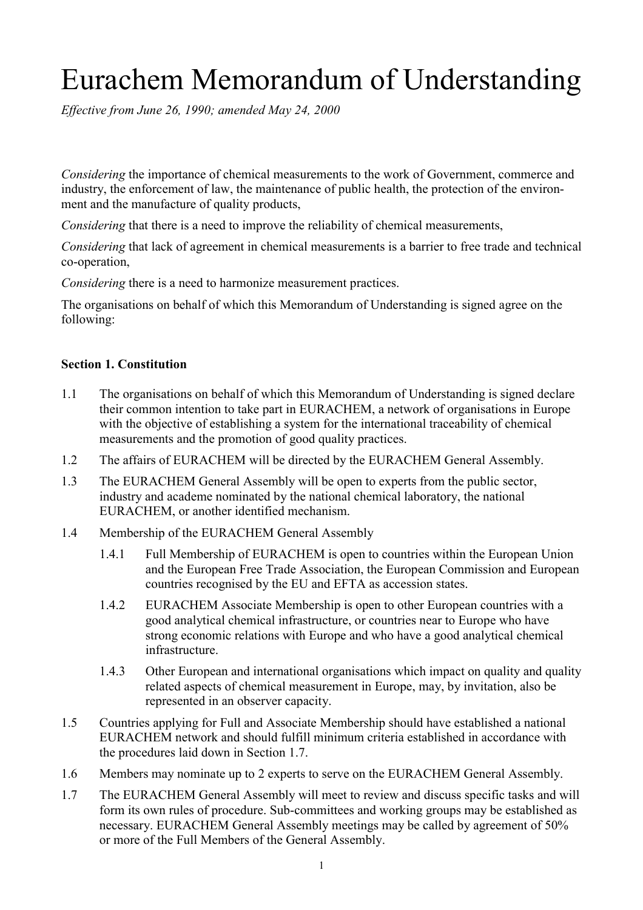# Eurachem Memorandum of Understanding

*Effective from June 26, 1990; amended May 24, 2000*

*Considering* the importance of chemical measurements to the work of Government, commerce and industry, the enforcement of law, the maintenance of public health, the protection of the environment and the manufacture of quality products,

*Considering* that there is a need to improve the reliability of chemical measurements,

*Considering* that lack of agreement in chemical measurements is a barrier to free trade and technical co-operation,

*Considering* there is a need to harmonize measurement practices.

The organisations on behalf of which this Memorandum of Understanding is signed agree on the following:

#### **Section 1. Constitution**

- 1.1 The organisations on behalf of which this Memorandum of Understanding is signed declare their common intention to take part in EURACHEM, a network of organisations in Europe with the objective of establishing a system for the international traceability of chemical measurements and the promotion of good quality practices.
- 1.2 The affairs of EURACHEM will be directed by the EURACHEM General Assembly.
- 1.3 The EURACHEM General Assembly will be open to experts from the public sector, industry and academe nominated by the national chemical laboratory, the national EURACHEM, or another identified mechanism.
- 1.4 Membership of the EURACHEM General Assembly
	- 1.4.1 Full Membership of EURACHEM is open to countries within the European Union and the European Free Trade Association, the European Commission and European countries recognised by the EU and EFTA as accession states.
	- 1.4.2 EURACHEM Associate Membership is open to other European countries with a good analytical chemical infrastructure, or countries near to Europe who have strong economic relations with Europe and who have a good analytical chemical infrastructure.
	- 1.4.3 Other European and international organisations which impact on quality and quality related aspects of chemical measurement in Europe, may, by invitation, also be represented in an observer capacity.
- 1.5 Countries applying for Full and Associate Membership should have established a national EURACHEM network and should fulfill minimum criteria established in accordance with the procedures laid down in Section 1.7.
- 1.6 Members may nominate up to 2 experts to serve on the EURACHEM General Assembly.
- 1.7 The EURACHEM General Assembly will meet to review and discuss specific tasks and will form its own rules of procedure. Sub-committees and working groups may be established as necessary. EURACHEM General Assembly meetings may be called by agreement of 50% or more of the Full Members of the General Assembly.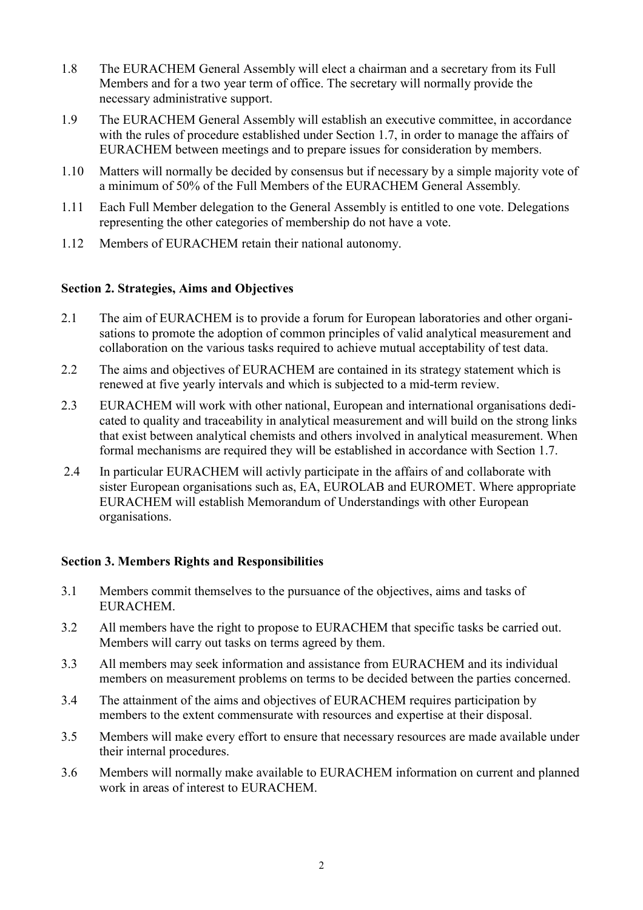- 1.8 The EURACHEM General Assembly will elect a chairman and a secretary from its Full Members and for a two year term of office. The secretary will normally provide the necessary administrative support.
- 1.9 The EURACHEM General Assembly will establish an executive committee, in accordance with the rules of procedure established under Section 1.7, in order to manage the affairs of EURACHEM between meetings and to prepare issues for consideration by members.
- 1.10 Matters will normally be decided by consensus but if necessary by a simple majority vote of a minimum of 50% of the Full Members of the EURACHEM General Assembly*.*
- 1.11 Each Full Member delegation to the General Assembly is entitled to one vote. Delegations representing the other categories of membership do not have a vote.
- 1.12 Members of EURACHEM retain their national autonomy.

## **Section 2. Strategies, Aims and Objectives**

- 2.1 The aim of EURACHEM is to provide a forum for European laboratories and other organisations to promote the adoption of common principles of valid analytical measurement and collaboration on the various tasks required to achieve mutual acceptability of test data.
- 2.2 The aims and objectives of EURACHEM are contained in its strategy statement which is renewed at five yearly intervals and which is subjected to a mid-term review.
- 2.3 EURACHEM will work with other national, European and international organisations dedicated to quality and traceability in analytical measurement and will build on the strong links that exist between analytical chemists and others involved in analytical measurement. When formal mechanisms are required they will be established in accordance with Section 1.7.
- 2.4 In particular EURACHEM will activly participate in the affairs of and collaborate with sister European organisations such as, EA, EUROLAB and EUROMET. Where appropriate EURACHEM will establish Memorandum of Understandings with other European organisations.

## **Section 3. Members Rights and Responsibilities**

- 3.1 Members commit themselves to the pursuance of the objectives, aims and tasks of EURACHEM.
- 3.2 All members have the right to propose to EURACHEM that specific tasks be carried out. Members will carry out tasks on terms agreed by them.
- 3.3 All members may seek information and assistance from EURACHEM and its individual members on measurement problems on terms to be decided between the parties concerned.
- 3.4 The attainment of the aims and objectives of EURACHEM requires participation by members to the extent commensurate with resources and expertise at their disposal.
- 3.5 Members will make every effort to ensure that necessary resources are made available under their internal procedures.
- 3.6 Members will normally make available to EURACHEM information on current and planned work in areas of interest to EURACHEM